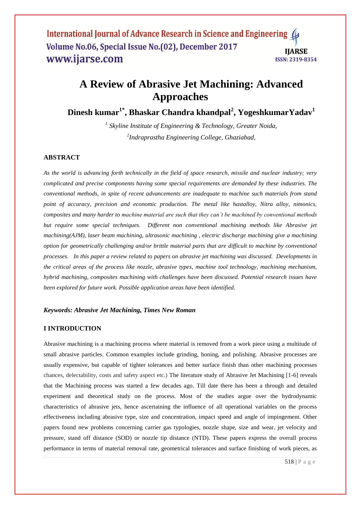# **A Review of Abrasive Jet Machining: Advanced Approaches**

**Dinesh kumar1\* , Bhaskar Chandra khandpal<sup>2</sup> , YogeshkumarYadav<sup>1</sup>**

*1 Skyline Institute of Engineering & Technology, Greater Noida, 2 Indraprastha Engineering College, Ghaziabad,*

## **ABSTRACT**

*As the world is advancing forth technically in the field of space research, missile and nuclear industry; very complicated and precise components having some special requirements are demanded by these industries. The conventional methods, in spite of recent advancements are inadequate to machine such materials from stand point of accuracy, precision and economic production. The metal like hastalloy, Nitra alloy, nimonics, composites and many harder to machine material are such that they can't be machined by conventional methods but require some special techniques. Different non conventional machining methods like Abrasive jet machining(AJM), laser beam machining, ultrasonic machining , electric discharge machining give a machining option for geometrically challenging and/or brittle material parts that are difficult to machine by conventional processes. In this paper a review related to papers on abrasive jet machining was discussed. Developments in the critical areas of the process like nozzle, abrasive types, machine tool technology, machining mechanism, hybrid machining, composites machining with challenges have been discussed. Potential research issues have been explored for future work. Possible application areas have been identified.*

#### *Keywords: Abrasive Jet Machining, Times New Roman*

## **I INTRODUCTION**

Abrasive machining is a machining process where material is removed from a work piece using a multitude of small abrasive particles. Common examples include grinding, honing, and polishing. Abrasive processes are usually expensive, but capable of tighter tolerances and better surface finish than other machining processes chances, delectability, costs and safety aspect etc.) The literature study of Abrasive Jet Machining [1-6] reveals that the Machining process was started a few decades ago. Till date there has been a through and detailed experiment and theoretical study on the process. Most of the studies argue over the hydrodynamic characteristics of abrasive jets, hence ascertaining the influence of all operational variables on the process effectiveness including abrasive type, size and concentration, impact speed and angle of impingement. Other papers found new problems concerning carrier gas typologies, nozzle shape, size and wear, jet velocity and pressure, stand off distance (SOD) or nozzle tip distance (NTD). These papers express the overall process performance in terms of material removal rate, geometrical tolerances and surface finishing of work pieces, as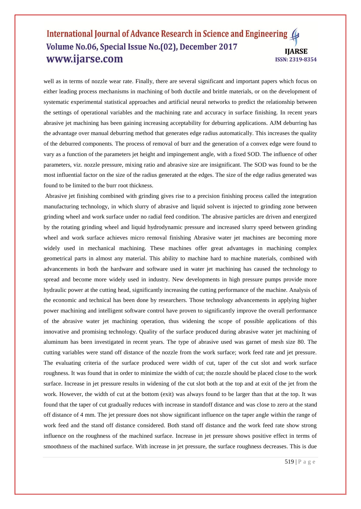well as in terms of nozzle wear rate. Finally, there are several significant and important papers which focus on either leading process mechanisms in machining of both ductile and brittle materials, or on the development of systematic experimental statistical approaches and artificial neural networks to predict the relationship between the settings of operational variables and the machining rate and accuracy in surface finishing. In recent years abrasive jet machining has been gaining increasing acceptability for deburring applications. AJM deburring has the advantage over manual deburring method that generates edge radius automatically. This increases the quality of the deburred components. The process of removal of burr and the generation of a convex edge were found to vary as a function of the parameters jet height and impingement angle, with a fixed SOD. The influence of other parameters, viz. nozzle pressure, mixing ratio and abrasive size are insignificant. The SOD was found to be the most influential factor on the size of the radius generated at the edges. The size of the edge radius generated was found to be limited to the burr root thickness.

Abrasive jet finishing combined with grinding gives rise to a precision finishing process called the integration manufacturing technology, in which slurry of abrasive and liquid solvent is injected to grinding zone between grinding wheel and work surface under no radial feed condition. The abrasive particles are driven and energized by the rotating grinding wheel and liquid hydrodynamic pressure and increased slurry speed between grinding wheel and work surface achieves micro removal finishing Abrasive water jet machines are becoming more widely used in mechanical machining. These machines offer great advantages in machining complex geometrical parts in almost any material. This ability to machine hard to machine materials, combined with advancements in both the hardware and software used in water jet machining has caused the technology to spread and become more widely used in industry. New developments in high pressure pumps provide more hydraulic power at the cutting head, significantly increasing the cutting performance of the machine. Analysis of the economic and technical has been done by researchers. Those technology advancements in applying higher power machining and intelligent software control have proven to significantly improve the overall performance of the abrasive water jet machining operation, thus widening the scope of possible applications of this innovative and promising technology. Quality of the surface produced during abrasive water jet machining of aluminum has been investigated in recent years. The type of abrasive used was garnet of mesh size 80. The cutting variables were stand off distance of the nozzle from the work surface; work feed rate and jet pressure. The evaluating criteria of the surface produced were width of cut, taper of the cut slot and work surface roughness. It was found that in order to minimize the width of cut; the nozzle should be placed close to the work surface. Increase in jet pressure results in widening of the cut slot both at the top and at exit of the jet from the work. However, the width of cut at the bottom (exit) was always found to be larger than that at the top. It was found that the taper of cut gradually reduces with increase in standoff distance and was close to zero at the stand off distance of 4 mm. The jet pressure does not show significant influence on the taper angle within the range of work feed and the stand off distance considered. Both stand off distance and the work feed rate show strong influence on the roughness of the machined surface. Increase in jet pressure shows positive effect in terms of smoothness of the machined surface. With increase in jet pressure, the surface roughness decreases. This is due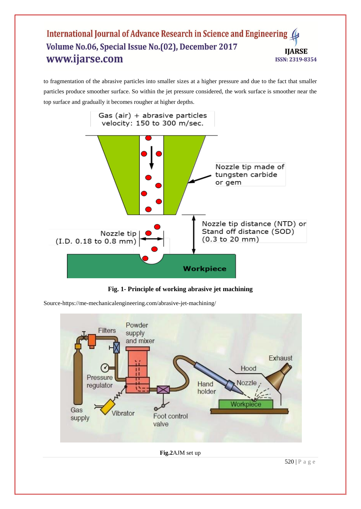to fragmentation of the abrasive particles into smaller sizes at a higher pressure and due to the fact that smaller particles produce smoother surface. So within the jet pressure considered, the work surface is smoother near the top surface and gradually it becomes rougher at higher depths.





Source-https://me-mechanicalengineering.com/abrasive-jet-machining/

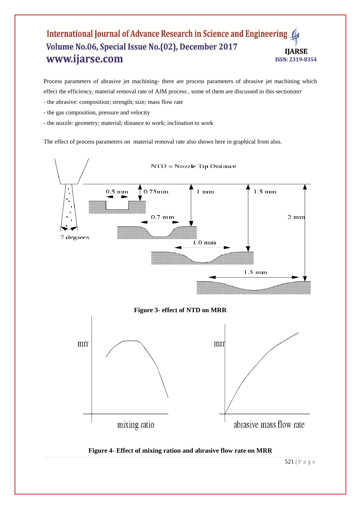Process parameters of abrasive jet machining- there are process parameters of abrasive jet machining which effect the efficiency, material removal rate of AJM process , some of them are discussed in this sectionmrr

- the abrasive: composition; strength; size; mass flow rate
- the gas composition, pressure and velocity
- the nozzle: geometry; material; distance to work; inclination to work

The effect of process parameters on material removal rate also shown here in graphical from also.

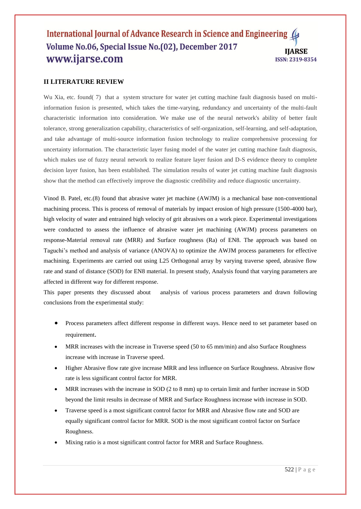## **II LITERATURE REVIEW**

Wu Xia, etc. found( 7) that a system structure for water jet cutting machine fault diagnosis based on multiinformation fusion is presented, which takes the time-varying, redundancy and uncertainty of the multi-fault characteristic information into consideration. We make use of the neural network's ability of better fault tolerance, strong generalization capability, characteristics of self-organization, self-learning, and self-adaptation, and take advantage of multi-source information fusion technology to realize comprehensive processing for uncertainty information. The characteristic layer fusing model of the water jet cutting machine fault diagnosis, which makes use of fuzzy neural network to realize feature layer fusion and D-S evidence theory to complete decision layer fusion, has been established. The simulation results of water jet cutting machine fault diagnosis show that the method can effectively improve the diagnostic credibility and reduce diagnostic uncertainty.

Vinod B. Patel, etc.(8) found that abrasive water jet machine (AWJM) is a mechanical base non-conventional machining process. This is process of removal of materials by impact erosion of high pressure (1500-4000 bar), high velocity of water and entrained high velocity of grit abrasives on a work piece. Experimental investigations were conducted to assess the influence of abrasive water jet machining (AWJM) process parameters on response-Material removal rate (MRR) and Surface roughness (Ra) of EN8. The approach was based on Taguchi's method and analysis of variance (ANOVA) to optimize the AWJM process parameters for effective machining. Experiments are carried out using L25 Orthogonal array by varying traverse speed, abrasive flow rate and stand of distance (SOD) for EN8 material. In present study, Analysis found that varying parameters are affected in different way for different response*.*

This paper presents they discussed about analysis of various process parameters and drawn following conclusions from the experimental study:

- Process parameters affect different response in different ways. Hence need to set parameter based on requirement.
- MRR increases with the increase in Traverse speed (50 to 65 mm/min) and also Surface Roughness increase with increase in Traverse speed.
- Higher Abrasive flow rate give increase MRR and less influence on Surface Roughness. Abrasive flow rate is less significant control factor for MRR.
- MRR increases with the increase in SOD (2 to 8 mm) up to certain limit and further increase in SOD beyond the limit results in decrease of MRR and Surface Roughness increase with increase in SOD.
- Traverse speed is a most significant control factor for MRR and Abrasive flow rate and SOD are equally significant control factor for MRR. SOD is the most significant control factor on Surface Roughness.
- Mixing ratio is a most significant control factor for MRR and Surface Roughness.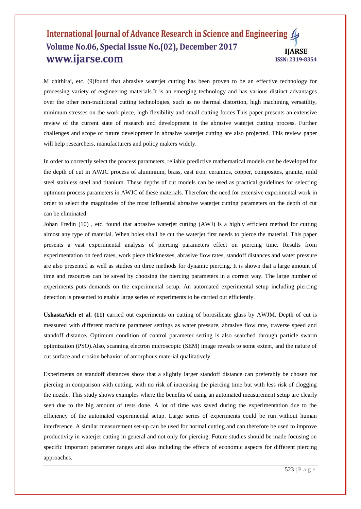M chithirai, etc. (9)found that abrasive waterjet cutting has been proven to be an effective technology for processing variety of engineering materials.It is an emerging technology and has various distinct advantages over the other non-traditional cutting technologies, such as no thermal distortion, high machining versatility, minimum stresses on the work piece, high flexibility and small cutting forces.This paper presents an extensive review of the current state of research and development in the abrasive waterjet cutting process. Further challenges and scope of future development in abrasive waterjet cutting are also projected. This review paper will help researchers, manufacturers and policy makers widely.

In order to correctly select the process parameters, reliable predictive mathematical models can be developed for the depth of cut in AWJC process of aluminium, brass, cast iron, ceramics, copper, composites, granite, mild steel stainless steel and titanium. These depths of cut models can be used as practical guidelines for selecting optimum process parameters in AWJC of these materials. Therefore the need for extensive experimental work in order to select the magnitudes of the most influential abrasive waterjet cutting parameters on the depth of cut can be eliminated.

Johan Fredin (10) , etc. found that **a**brasive waterjet cutting (AWJ) is a highly efficient method for cutting almost any type of material. When holes shall be cut the waterjet first needs to pierce the material. This paper presents a vast experimental analysis of piercing parameters effect on piercing time. Results from experimentation on feed rates, work piece thicknesses, abrasive flow rates, standoff distances and water pressure are also presented as well as studies on three methods for dynamic piercing. It is shown that a large amount of time and resources can be saved by choosing the piercing parameters in a correct way. The large number of experiments puts demands on the experimental setup. An automated experimental setup including piercing detection is presented to enable large series of experiments to be carried out efficiently.

**UshastaAich et al. (11)** carried out experiments on cutting of borosilicate glass by AWJM. Depth of cut is measured with different machine parameter settings as water pressure, abrasive flow rate, traverse speed and standoff distance**.** Optimum condition of control parameter setting is also searched through particle swarm optimization (PSO).Also, scanning electron microscopic (SEM) image reveals to some extent, and the nature of cut surface and erosion behavior of amorphous material qualitatively

Experiments on standoff distances show that a slightly larger standoff distance can preferably be chosen for piercing in comparison with cutting, with no risk of increasing the piercing time but with less risk of clogging the nozzle. This study shows examples where the benefits of using an automated measurement setup are clearly seen due to the big amount of tests done. A lot of time was saved during the experimentation due to the efficiency of the automated experimental setup. Large series of experiments could be run without human interference. A similar measurement set-up can be used for normal cutting and can therefore be used to improve productivity in waterjet cutting in general and not only for piercing. Future studies should be made focusing on specific important parameter ranges and also including the effects of economic aspects for different piercing approaches.